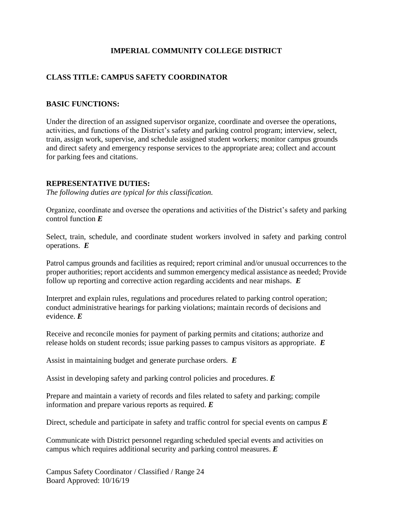# **IMPERIAL COMMUNITY COLLEGE DISTRICT**

# **CLASS TITLE: CAMPUS SAFETY COORDINATOR**

### **BASIC FUNCTIONS:**

Under the direction of an assigned supervisor organize, coordinate and oversee the operations, activities, and functions of the District's safety and parking control program; interview, select, train, assign work, supervise, and schedule assigned student workers; monitor campus grounds and direct safety and emergency response services to the appropriate area; collect and account for parking fees and citations.

#### **REPRESENTATIVE DUTIES:**

*The following duties are typical for this classification.*

Organize, coordinate and oversee the operations and activities of the District's safety and parking control function *E*

Select, train, schedule, and coordinate student workers involved in safety and parking control operations. *E*

Patrol campus grounds and facilities as required; report criminal and/or unusual occurrences to the proper authorities; report accidents and summon emergency medical assistance as needed; Provide follow up reporting and corrective action regarding accidents and near mishaps. *E*

Interpret and explain rules, regulations and procedures related to parking control operation; conduct administrative hearings for parking violations; maintain records of decisions and evidence. *E*

Receive and reconcile monies for payment of parking permits and citations; authorize and release holds on student records; issue parking passes to campus visitors as appropriate. *E*

Assist in maintaining budget and generate purchase orders. *E*

Assist in developing safety and parking control policies and procedures. *E*

Prepare and maintain a variety of records and files related to safety and parking; compile information and prepare various reports as required. *E*

Direct, schedule and participate in safety and traffic control for special events on campus *E*

Communicate with District personnel regarding scheduled special events and activities on campus which requires additional security and parking control measures. *E*

Campus Safety Coordinator / Classified / Range 24 Board Approved: 10/16/19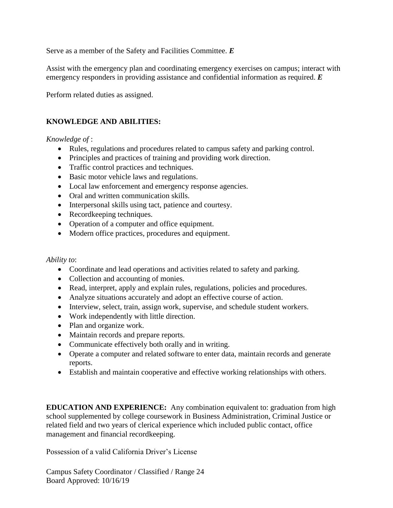Serve as a member of the Safety and Facilities Committee. *E*

Assist with the emergency plan and coordinating emergency exercises on campus; interact with emergency responders in providing assistance and confidential information as required. *E*

Perform related duties as assigned.

## **KNOWLEDGE AND ABILITIES:**

### *Knowledge of* :

- Rules, regulations and procedures related to campus safety and parking control.
- Principles and practices of training and providing work direction.
- Traffic control practices and techniques.
- Basic motor vehicle laws and regulations.
- Local law enforcement and emergency response agencies.
- Oral and written communication skills.
- Interpersonal skills using tact, patience and courtesy.
- Recordkeeping techniques.
- Operation of a computer and office equipment.
- Modern office practices, procedures and equipment.

#### *Ability to*:

- Coordinate and lead operations and activities related to safety and parking.
- Collection and accounting of monies.
- Read, interpret, apply and explain rules, regulations, policies and procedures.
- Analyze situations accurately and adopt an effective course of action.
- Interview, select, train, assign work, supervise, and schedule student workers.
- Work independently with little direction.
- Plan and organize work.
- Maintain records and prepare reports.
- Communicate effectively both orally and in writing.
- Operate a computer and related software to enter data, maintain records and generate reports.
- Establish and maintain cooperative and effective working relationships with others.

**EDUCATION AND EXPERIENCE:** Any combination equivalent to: graduation from high school supplemented by college coursework in Business Administration, Criminal Justice or related field and two years of clerical experience which included public contact, office management and financial recordkeeping.

Possession of a valid California Driver's License

Campus Safety Coordinator / Classified / Range 24 Board Approved: 10/16/19